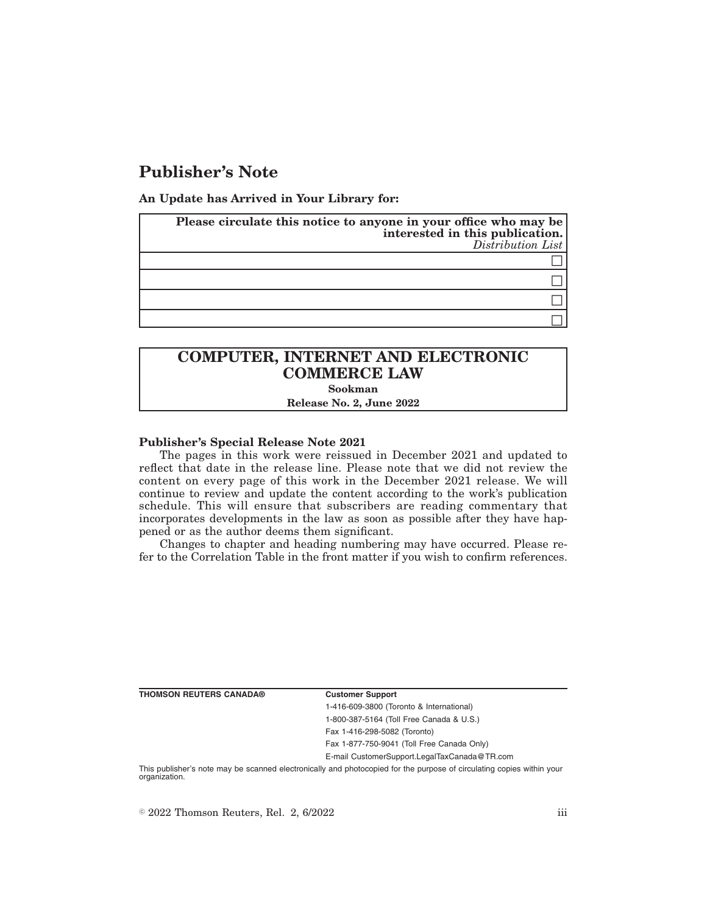## **Publisher's Note**

**An Update has Arrived in Your Library for:**

| Please circulate this notice to anyone in your office who may be<br>interested in this publication.<br>Distribution List |
|--------------------------------------------------------------------------------------------------------------------------|
|                                                                                                                          |
|                                                                                                                          |
|                                                                                                                          |
|                                                                                                                          |

# **COMPUTER, INTERNET AND ELECTRONIC COMMERCE LAW**

**Sookman**

**Release No. 2, June 2022**

### **Publisher's Special Release Note 2021**

The pages in this work were reissued in December 2021 and updated to reflect that date in the release line. Please note that we did not review the content on every page of this work in the December 2021 release. We will continue to review and update the content according to the work's publication schedule. This will ensure that subscribers are reading commentary that incorporates developments in the law as soon as possible after they have happened or as the author deems them significant.

Changes to chapter and heading numbering may have occurred. Please refer to the Correlation Table in the front matter if you wish to confirm references.

**THOMSON REUTERS CANADA® Customer Support**

1-416-609-3800 (Toronto & International) 1-800-387-5164 (Toll Free Canada & U.S.) Fax 1-416-298-5082 (Toronto) Fax 1-877-750-9041 (Toll Free Canada Only)

E-mail CustomerSupport.LegalTaxCanada@TR.com

This publisher's note may be scanned electronically and photocopied for the purpose of circulating copies within your organization.

 $\degree$  2022 Thomson Reuters, Rel. 2, 6/2022 iii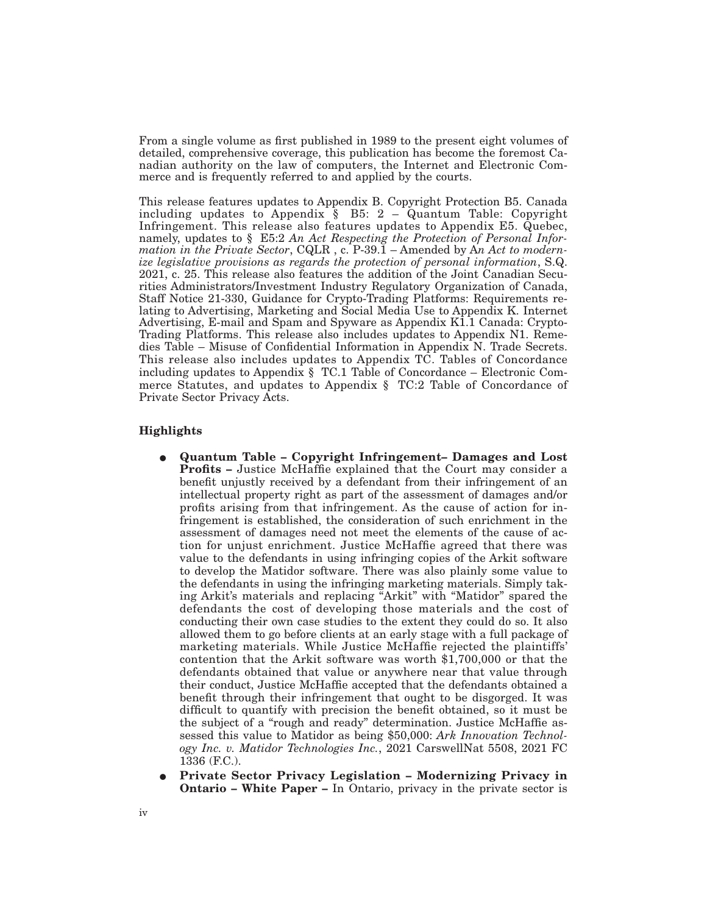From a single volume as first published in 1989 to the present eight volumes of detailed, comprehensive coverage, this publication has become the foremost Canadian authority on the law of computers, the Internet and Electronic Commerce and is frequently referred to and applied by the courts.

This release features updates to Appendix B. Copyright Protection B5. Canada including updates to Appendix  $\S$  B5: 2 – Quantum Table: Copyright Infringement. This release also features updates to Appendix E5. Quebec, namely, updates to § E5:2 *An Act Respecting the Protection of Personal Information in the Private Sector*, CQLR , c. P-39.1 – Amended by A*n Act to modernize legislative provisions as regards the protection of personal information*, S.Q. 2021, c. 25. This release also features the addition of the Joint Canadian Securities Administrators/Investment Industry Regulatory Organization of Canada, Staff Notice 21-330, Guidance for Crypto-Trading Platforms: Requirements relating to Advertising, Marketing and Social Media Use to Appendix K. Internet Advertising, E-mail and Spam and Spyware as Appendix K1.1 Canada: Crypto-Trading Platforms. This release also includes updates to Appendix N1. Remedies Table – Misuse of Confidential Information in Appendix N. Trade Secrets. This release also includes updates to Appendix TC. Tables of Concordance including updates to Appendix § TC.1 Table of Concordance – Electronic Commerce Statutes, and updates to Appendix § TC:2 Table of Concordance of Private Sector Privacy Acts.

### **Highlights**

- E **Quantum Table Copyright Infringement– Damages and Lost Profits –** Justice McHaffie explained that the Court may consider a benefit unjustly received by a defendant from their infringement of an intellectual property right as part of the assessment of damages and/or profits arising from that infringement. As the cause of action for infringement is established, the consideration of such enrichment in the assessment of damages need not meet the elements of the cause of action for unjust enrichment. Justice McHaffie agreed that there was value to the defendants in using infringing copies of the Arkit software to develop the Matidor software. There was also plainly some value to the defendants in using the infringing marketing materials. Simply taking Arkit's materials and replacing "Arkit" with "Matidor" spared the defendants the cost of developing those materials and the cost of conducting their own case studies to the extent they could do so. It also allowed them to go before clients at an early stage with a full package of marketing materials. While Justice McHaffie rejected the plaintiffs' contention that the Arkit software was worth \$1,700,000 or that the defendants obtained that value or anywhere near that value through their conduct, Justice McHaffie accepted that the defendants obtained a benefit through their infringement that ought to be disgorged. It was difficult to quantify with precision the benefit obtained, so it must be the subject of a "rough and ready" determination. Justice McHaffie assessed this value to Matidor as being \$50,000: *Ark Innovation Technology Inc. v. Matidor Technologies Inc.*, 2021 CarswellNat 5508, 2021 FC 1336 (F.C.).
- E **Private Sector Privacy Legislation Modernizing Privacy in Ontario – White Paper –** In Ontario, privacy in the private sector is